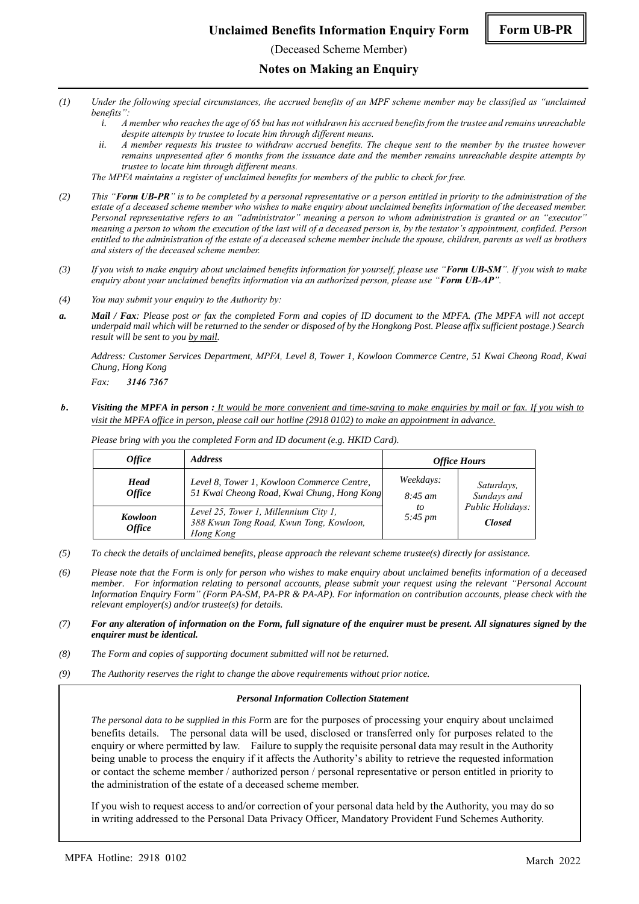(Deceased Scheme Member)

#### **Notes on Making an Enquiry**

- *(1) Under the following special circumstances, the accrued benefits of an MPF scheme member may be classified as "unclaimed benefits":*
	- *i. A member who reaches the age of 65 but has not withdrawn his accrued benefits from the trustee and remains unreachable despite attempts by trustee to locate him through different means.*
	- *ii. A member requests his trustee to withdraw accrued benefits. The cheque sent to the member by the trustee however remains unpresented after 6 months from the issuance date and the member remains unreachable despite attempts by trustee to locate him through different means.*

*The MPFA maintains a register of unclaimed benefits for members of the public to check for free.*

- *(2) This "Form UB-PR" is to be completed by a personal representative or a person entitled in priority to the administration of the estate of a deceased scheme member who wishes to make enquiry about unclaimed benefits information of the deceased member. Personal representative refers to an "administrator" meaning a person to whom administration is granted or an "executor" meaning a person to whom the execution of the last will of a deceased person is, by the testator's appointment, confided. Person entitled to the administration of the estate of a deceased scheme member include the spouse, children, parents as well as brothers and sisters of the deceased scheme member.*
- *(3) If you wish to make enquiry about unclaimed benefits information for yourself, please use "Form UB-SM". If you wish to make enquiry about your unclaimed benefits information via an authorized person, please use "Form UB-AP".*
- *(4) You may submit your enquiry to the Authority by:*
- *a. Mail / Fax: Please post or fax the completed Form and copies of ID document to the MPFA. (The MPFA will not accept underpaid mail which will be returned to the sender or disposed of by the Hongkong Post. Please affix sufficient postage.) Search result will be sent to you by mail.*

*Address: Customer Services Department, MPFA, Level 8, Tower 1, Kowloon Commerce Centre, 51 Kwai Cheong Road, Kwai Chung, Hong Kong*

*Fax: 3146 7367*

*b. Visiting the MPFA in person : It would be more convenient and time-saving to make enquiries by mail or fax. If you wish to visit the MPFA office in person, please call our hotline (2918 0102) to make an appointment in advance.*

| <i><b>Office</b></i>                | <i><b>Address</b></i>                                                                         | <b>Office Hours</b>                                    |                                                                |
|-------------------------------------|-----------------------------------------------------------------------------------------------|--------------------------------------------------------|----------------------------------------------------------------|
| <b>Head</b><br><i><b>Office</b></i> | Level 8, Tower 1, Kowloon Commerce Centre,<br>51 Kwai Cheong Road, Kwai Chung, Hong Kong      | Weekdays:<br>$8:45 \; am$<br>tο<br>$5:45 \, \text{pm}$ | Saturdays,<br>Sundays and<br>Public Holidays:<br><b>Closed</b> |
| Kowloon<br><i><b>Office</b></i>     | Level 25, Tower 1, Millennium City 1,<br>388 Kwun Tong Road, Kwun Tong, Kowloon,<br>Hong Kong |                                                        |                                                                |

*Please bring with you the completed Form and ID document (e.g. HKID Card).*

- *(5) To check the details of unclaimed benefits, please approach the relevant scheme trustee(s) directly for assistance.*
- *(6) Please note that the Form is only for person who wishes to make enquiry about unclaimed benefits information of a deceased member. For information relating to personal accounts, please submit your request using the relevant "Personal Account Information Enquiry Form" (Form PA-SM, PA-PR & PA-AP). For information on contribution accounts, please check with the relevant employer(s) and/or trustee(s) for details.*
- *(7) For any alteration of information on the Form, full signature of the enquirer must be present. All signatures signed by the enquirer must be identical.*
- *(8) The Form and copies of supporting document submitted will not be returned.*
- *(9) The Authority reserves the right to change the above requirements without prior notice.*

#### *Personal Information Collection Statement*

*The personal data to be supplied in this Fo*rm are for the purposes of processing your enquiry about unclaimed benefits details. The personal data will be used, disclosed or transferred only for purposes related to the enquiry or where permitted by law. Failure to supply the requisite personal data may result in the Authority being unable to process the enquiry if it affects the Authority's ability to retrieve the requested information or contact the scheme member / authorized person / personal representative or person entitled in priority to the administration of the estate of a deceased scheme member.

If you wish to request access to and/or correction of your personal data held by the Authority, you may do so in writing addressed to the Personal Data Privacy Officer, Mandatory Provident Fund Schemes Authority.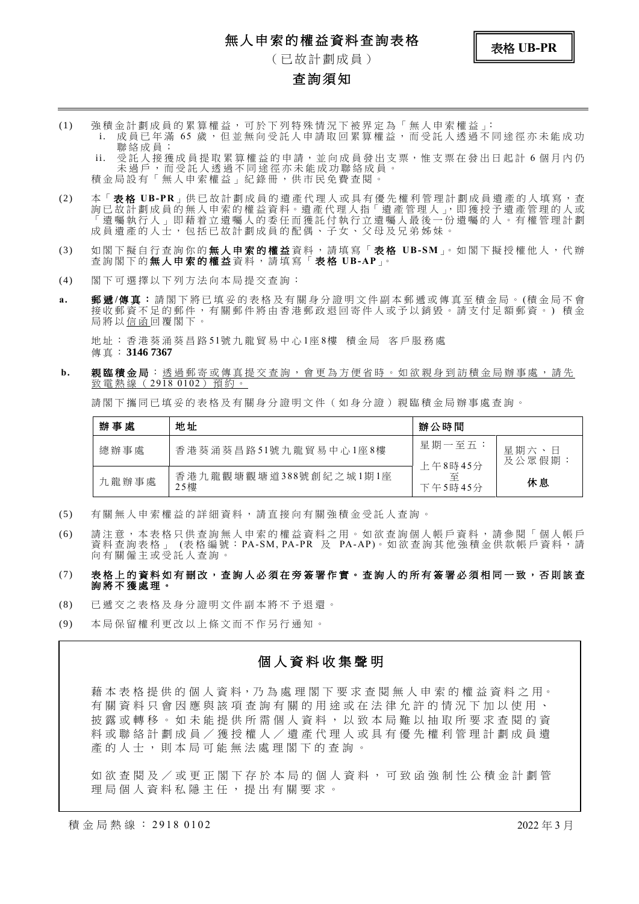## 無人申索的權益資料查詢表格



( 已 故 計 劃 成 員 )

### **查詢須知**

(1) 強 積 金 計 劃 成 員 的 累 算 權 益 , 可 於 下 列 特 殊 情 況 下 被 界 定 為 「 無 人 申 索 權 益 」: i. 成員已年滿 65 歲, 但並無向受託人申請取回累算權益, 而受託人透過不同途徑亦未能成功 聯 絡 成 員 ;

ii. 受託 人 接 獲 成 員 提 取 累 算 權 益 的 申 請,並 向 成 員 發 出 支 票,惟 支 票 在 發 出 日 起 計 6 個 月 内 仍 未過戶,而受託人透過不同途徑亦未能成功聯絡成員。 積金局設有「無人申索權益」紀錄冊,供市民免費查閱

- (2) 本「 表 格 **UB-PR**」供 已 故 計 劃 成 員 的 遺 產 代 理 人 或 具 有 優 先 權 利 管 理 計 劃 成 員 遺 產 的 人 填 寫 , 查 詢 已 故 計 劃 成 員 的 無 人 申 索 的 權 益 資 料 。 遺 產 代 理 人 指 「 遺 產 管 理 人 」, 即 獲 授 予 遺 產 管 理 的 人 或 「 遺 囑 執 行 人 」 即 藉 着 立 遺 囑 人 的 委 任 而 獲 託 付 執 行 立 遺 囑 人 最 後 一 份 遺 囑 的 人 。 有 權 管 理 計 劃 成員 遺 產 的 人 士 , 包 括 已 故 計 劃 成 員 的 配 偶 、 子 女 、 父 母 及 兄 弟 姊 妹 。
- (3) 如 閣 下 擬 自 行 查 詢 你 的 **無 人 申 索 的 權 益** 資 料 , 請 填 寫 「 **表 格 UB-SM** 」。 如 閣 下 擬 授 權 他 人 , 代 辦 查 詢 閣 下 的 無人申索的權益 資 料 , 請 填 寫 「 表 格 **UB-AP**」。
- (4) 閣 下 可 選 擇 以 下 列 方 法 向 本 局 提 交 查 詢 :
- **a.** 郵 遞 **/**傳真: 請 閣 下 將 已 填 妥 的 表 格 及 有 關 身 分 證 明 文 件 副 本 郵 遞 或 傳 真 至 積 金 局 。 (積 金 局 不 會 接收郵資不足的郵件,有關郵件將由香港郵政退回寄件人或予以銷毀。請支付足額郵資。)積金 局 將 以 信 函 回 覆 閣 下 。

地 址 : 香 港 葵 涌 葵 昌 路 51號 九 龍 貿 易 中 心 1座 8樓 積 金 局 客 戶 服 務 處 傳 真 : **3146 7367**

b. 親臨積金局:透過郵寄或傳真提交查詢,會更為方便省時。如欲親身到訪積金局辦事處,請先 致 雷 熱 線 (2918 0102) 預約。

請閣下攜同已填妥的表格及有關身分證明文件(如身分證)親臨積金局辦事處查詢。

| 辦事處   | 地址                           | 辦公時間                    |                 |
|-------|------------------------------|-------------------------|-----------------|
| 總辦事處  | 香港葵涌葵昌路51號九龍貿易中心1座8樓         | 星期一至五:                  | 星期六、日<br>及公眾假期: |
| 九龍辦事處 | 香港九龍觀塘觀塘道388號創紀之城1期1座<br>25樓 | 上午8時45分<br>至<br>下午5時45分 | 休息              |

- (5) 有 關 無 人 申 索 權 益 的 詳 細 資 料 , 請 直 接 向 有 關 強 積 金 受 託 人 查 詢 。
- (6) 請 注 意 , 本 表 格 只 供 查 詢 無 人 申 索 的 權 益 資 料 之 用 。 如 欲 查 詢 個 人 帳 戶 資 料 , 請 參 閱 「 個 人 帳 戶 資料查詢表格 」 (表格編號:PA-SM, PA-PR 及 PA-AP)。如欲查詢其他強積金供款帳戶資料,請 向有關僱主或受託人查詢。
- (7) 表 格 上 的 資 料 如 有 刪改, 查 詢 人 必 須 在 旁 簽 署 作 實 。 查 詢 人 的 所 有 簽 署 必 須 相 同 一 致 , 否 則 該 查 詢 將 不 獲 處 理 。
- (8) 已 遞 交 之 表 格 及 身 分 證 明 文 件 副 本 將 不 予 退 還 。
- (9) 本 局 保 留 權 利 更 改 以 上 條 文 而 不 作 另 行 通 知 。

### 個人資料收集聲明

藉 本 表 格 提 供 的 個 人 資 料,乃 為 處 理 閣 下 要 求 查 閱 無 人 申 索 的 權 益 資 料 之 用。 有 關 資 料 只 會 因 應 與 該 項 查 詢 有 關 的 用 途 或 在 法 律 允 許 的 情 況 下 加 以 使 用 、 披露或轉移。如未能提供所需個人資料,以致本局難以抽取所要求查閱的資 料或聯絡計劃成員/獲授權人/遺產代理人或具有優先權利管理計劃成員遺 產 的 人 士 , 則 本 局 可 能 無 法 處 理 閣 下 的 查 詢 。

如欲查閱及/或更正閣下存於本局的個人資料,可致函強制性公積金計劃管 理 局 個 人 資 料 私 隱 主 任 , 提 出 有 關 要 求 。

積 金 局 熱 線 : 2918 0102 2022 年 3 月 2022 年 3 月 2022 年 3 月 2022 年 3 月 2022 年 3 月 2022 年 3 月 2022 年 3 月 2022 年 3 月 2022 年 3 月 2022 年 3 月 2022 年 3 月 2022 年 3 月 2022 年 3 月 2022 年 3 月 2022 年 3 月 2022 年 3 月 2022 年 3 月 2022 年 3 月 20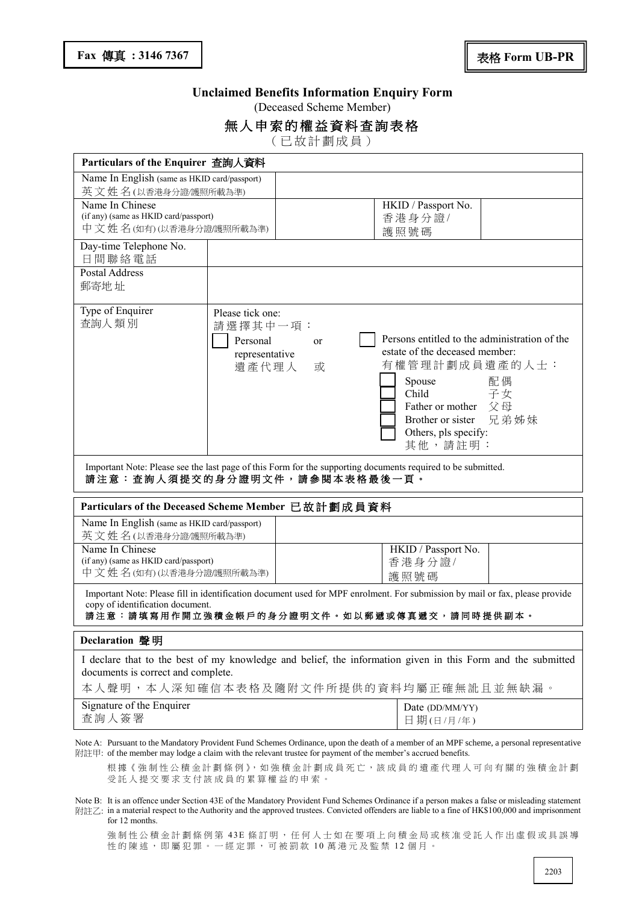#### **Unclaimed Benefits Information Enquiry Form**

(Deceased Scheme Member)

#### 無人申索的權益資料查詢表格

( 已 故 計 劃 成 員 )

| Particulars of the Enquirer 查詢人資料                                                                                                                                                                                                                          |                                                                                |                                                                                                                                                                                                                                       |  |  |
|------------------------------------------------------------------------------------------------------------------------------------------------------------------------------------------------------------------------------------------------------------|--------------------------------------------------------------------------------|---------------------------------------------------------------------------------------------------------------------------------------------------------------------------------------------------------------------------------------|--|--|
| Name In English (same as HKID card/passport)                                                                                                                                                                                                               |                                                                                |                                                                                                                                                                                                                                       |  |  |
| 英文姓名(以香港身分證/護照所載為準)                                                                                                                                                                                                                                        |                                                                                |                                                                                                                                                                                                                                       |  |  |
| Name In Chinese<br>(if any) (same as HKID card/passport)<br>中文姓名(如有)(以香港身分證/護照所載為準)                                                                                                                                                                        |                                                                                | HKID / Passport No.<br>香港身分證/<br>護照號碼                                                                                                                                                                                                 |  |  |
| Day-time Telephone No.<br>日間聯絡電話                                                                                                                                                                                                                           |                                                                                |                                                                                                                                                                                                                                       |  |  |
| <b>Postal Address</b><br>郵寄地址                                                                                                                                                                                                                              |                                                                                |                                                                                                                                                                                                                                       |  |  |
| Type of Enquirer<br>查詢人類別                                                                                                                                                                                                                                  | Please tick one:<br>請選擇其中一項:<br>Personal<br>or<br>representative<br>遺產代理人<br>或 | Persons entitled to the administration of the<br>estate of the deceased member:<br>有權管理計劃成員遺產的人士:<br>Spouse<br>配偶<br>Child<br>子女<br>Father or mother $\Diamond \boxplus$<br>Brother or sister 兄弟姊妹<br>Others, pls specify:<br>其他,請註明: |  |  |
| Important Note: Please see the last page of this Form for the supporting documents required to be submitted.<br>請注意: 查詢人須提交的身分證明文件,請參閱本表格最後一頁。                                                                                                             |                                                                                |                                                                                                                                                                                                                                       |  |  |
|                                                                                                                                                                                                                                                            | Particulars of the Deceased Scheme Member 已故計劃成員資料                             |                                                                                                                                                                                                                                       |  |  |
| Name In English (same as HKID card/passport)<br>英文姓名(以香港身分證/護照所載為準)                                                                                                                                                                                        |                                                                                |                                                                                                                                                                                                                                       |  |  |
| Name In Chinese<br>(if any) (same as HKID card/passport)<br>中文姓名(如有)(以香港身分證)護照所載為準)                                                                                                                                                                        |                                                                                | HKID / Passport No.<br>香港身分證/<br>護照號碼                                                                                                                                                                                                 |  |  |
| Important Note: Please fill in identification document used for MPF enrolment. For submission by mail or fax, please provide<br>copy of identification document.<br>請注意:請填寫用作開立強積金帳戶的身分證明文件。如以郵遞或傳真遞交,請同時提供副本。                                             |                                                                                |                                                                                                                                                                                                                                       |  |  |
| Declaration 聲明                                                                                                                                                                                                                                             |                                                                                |                                                                                                                                                                                                                                       |  |  |
| I declare that to the best of my knowledge and belief, the information given in this Form and the submitted<br>documents is correct and complete.<br>本人聲明,本人深知確信本表格及隨附文件所提供的資料均屬正確無訛且並無缺漏。                                                                 |                                                                                |                                                                                                                                                                                                                                       |  |  |
| Signature of the Enquirer<br>查詢人簽署                                                                                                                                                                                                                         |                                                                                | Date (DD/MM/YY)<br>日期(日/月/年)                                                                                                                                                                                                          |  |  |
| Note A: Pursuant to the Mandatory Provident Fund Schemes Ordinance, upon the death of a member of an MPF scheme, a personal representative<br>附註甲: of the member may lodge a claim with the relevant trustee for payment of the member's accrued benefits. |                                                                                |                                                                                                                                                                                                                                       |  |  |

根據《強制性公積金計劃條例》,如強積金計劃成員死亡,該成員的遺產代理人可向有關的強積金計劃 受託人提交要求支付該成員的累算權益的申索。

Note B: It is an offence under Section 43E of the Mandatory Provident Fund Schemes Ordinance if a person makes a false or misleading statement 附註乙: in a material respect to the Authority and the approved trustees. Convicted offenders are liable to a fine of HK\$100,000 and imprisonment for 12 months.

強制性公積金計劃條例第 43E 條訂明, 任何人士如在要項上向積金局或核准受託人作出虛假或具誤導 性的陳述,即屬犯罪。一經定罪,可被罰款 10 萬港元及監禁 12 個月。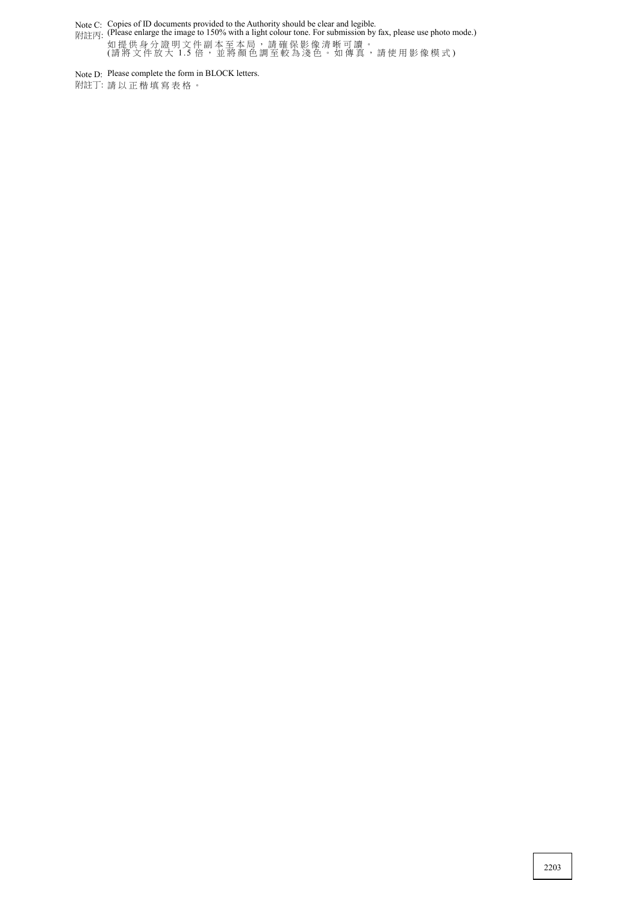Note C:

附註丙: Copies of ID documents provided to the Authority should be clear and legible. (Please enlarge the image to 150% with a light colour tone. For submission by fax, please use photo mode.) 如 提 供 身 分 證 明 文 件 副 本 至 本 局 , 請 確 保 影 像 清 晰 可 讀 。 (請將文件放大 1.5 倍,並將顏色調至較為淺色。如傳真,請使用影像模式)

Note D: Please complete the form in BLOCK letters.

附註丁: 請 以 正 楷 填 寫 表 格 。